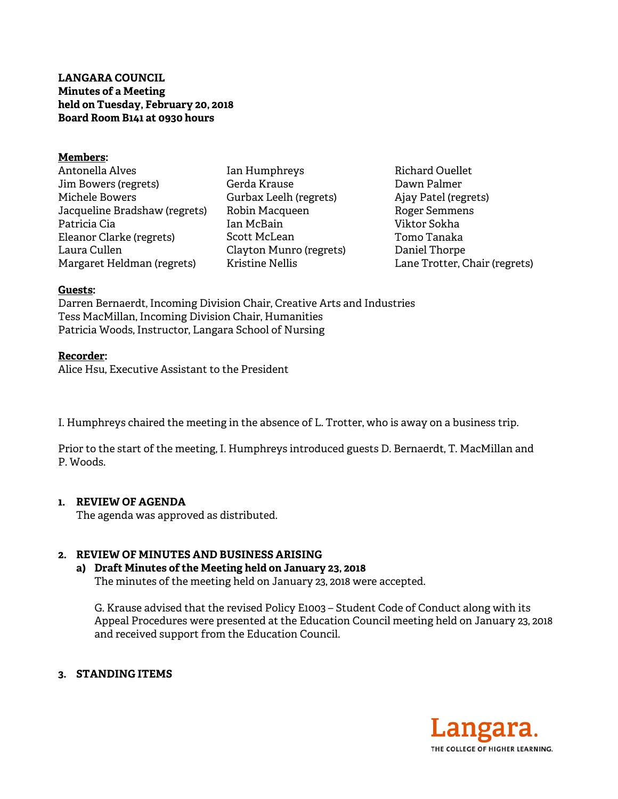**LANGARA COUNCIL Minutes of a Meeting held on Tuesday, February 20, 2018 Board Room B141 at 0930 hours** 

#### **Members:**

Antonella Alves Jim Bowers (regrets) Michele Bowers Jacqueline Bradshaw (regrets) Patricia Cia Eleanor Clarke (regrets) Laura Cullen Margaret Heldman (regrets)

Ian Humphreys Gerda Krause Gurbax Leelh (regrets) Robin Macqueen Ian McBain Scott McLean Clayton Munro (regrets) Kristine Nellis

Richard Ouellet Dawn Palmer Ajay Patel (regrets) Roger Semmens Viktor Sokha Tomo Tanaka Daniel Thorpe Lane Trotter, Chair (regrets)

#### **Guests:**

Darren Bernaerdt, Incoming Division Chair, Creative Arts and Industries Tess MacMillan, Incoming Division Chair, Humanities Patricia Woods, Instructor, Langara School of Nursing

#### **Recorder:**

Alice Hsu, Executive Assistant to the President

I. Humphreys chaired the meeting in the absence of L. Trotter, who is away on a business trip.

Prior to the start of the meeting, I. Humphreys introduced guests D. Bernaerdt, T. MacMillan and P. Woods.

### **1. REVIEW OF AGENDA**

The agenda was approved as distributed.

### **2. REVIEW OF MINUTES AND BUSINESS ARISING**

### **a) Draft Minutes of the Meeting held on January 23, 2018**

The minutes of the meeting held on January 23, 2018 were accepted.

G. Krause advised that the revised Policy E1003 – Student Code of Conduct along with its Appeal Procedures were presented at the Education Council meeting held on January 23, 2018 and received support from the Education Council.

### **3. STANDING ITEMS**

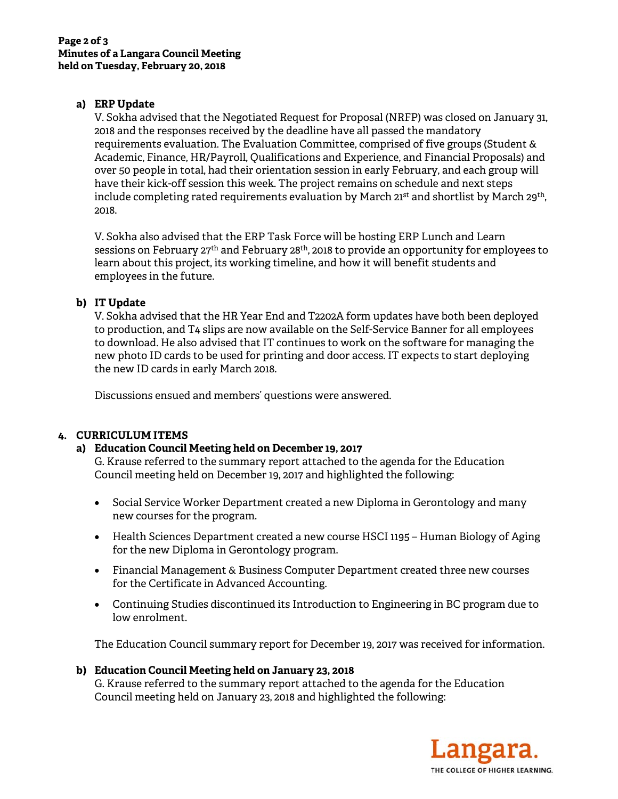## **a) ERP Update**

V. Sokha advised that the Negotiated Request for Proposal (NRFP) was closed on January 31, 2018 and the responses received by the deadline have all passed the mandatory requirements evaluation. The Evaluation Committee, comprised of five groups (Student & Academic, Finance, HR/Payroll, Qualifications and Experience, and Financial Proposals) and over 50 people in total, had their orientation session in early February, and each group will have their kick-off session this week. The project remains on schedule and next steps include completing rated requirements evaluation by March 21<sup>st</sup> and shortlist by March 29<sup>th</sup>, 2018.

V. Sokha also advised that the ERP Task Force will be hosting ERP Lunch and Learn sessions on February 27<sup>th</sup> and February 28<sup>th</sup>, 2018 to provide an opportunity for employees to learn about this project, its working timeline, and how it will benefit students and employees in the future.

# **b) IT Update**

V. Sokha advised that the HR Year End and T2202A form updates have both been deployed to production, and T4 slips are now available on the Self-Service Banner for all employees to download. He also advised that IT continues to work on the software for managing the new photo ID cards to be used for printing and door access. IT expects to start deploying the new ID cards in early March 2018.

Discussions ensued and members' questions were answered.

# **4. CURRICULUM ITEMS**

## **a) Education Council Meeting held on December 19, 2017**

G. Krause referred to the summary report attached to the agenda for the Education Council meeting held on December 19, 2017 and highlighted the following:

- Social Service Worker Department created a new Diploma in Gerontology and many new courses for the program.
- Health Sciences Department created a new course HSCI 1195 Human Biology of Aging for the new Diploma in Gerontology program.
- Financial Management & Business Computer Department created three new courses for the Certificate in Advanced Accounting.
- Continuing Studies discontinued its Introduction to Engineering in BC program due to low enrolment.

The Education Council summary report for December 19, 2017 was received for information.

## **b) Education Council Meeting held on January 23, 2018**

G. Krause referred to the summary report attached to the agenda for the Education Council meeting held on January 23, 2018 and highlighted the following: